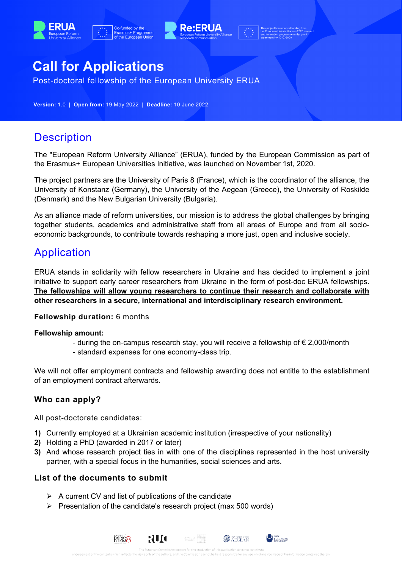





# **Call for Applications**

Post-doctoral fellowship of the European University ERUA

**Version:** 1.0 | **Open from:** 19 May 2022 | **Deadline:** 10 June 2022

## **Description**

The "European Reform University Alliance" (ERUA), funded by the European Commission as part of the Erasmus+ European Universities Initiative, was launched on November 1st, 2020.

The project partners are the University of Paris 8 (France), which is the coordinator of the alliance, the University of Konstanz (Germany), the University of the Aegean (Greece), the University of Roskilde (Denmark) and the New Bulgarian University (Bulgaria).

As an alliance made of reform universities, our mission is to address the global challenges by bringing together students, academics and administrative staff from all areas of Europe and from all socioeconomic backgrounds, to contribute towards reshaping a more just, open and inclusive society.

## Application

ERUA stands in solidarity with fellow researchers in Ukraine and has decided to implement a joint initiative to support early career researchers from Ukraine in the form of post-doc ERUA fellowships. **The fellowships will allow young researchers to continue their research and collaborate with other researchers in a secure, international and interdisciplinary research environment.**

#### **Fellowship duration:** 6 months

#### **Fellowship amount:**

- during the on-campus research stay, you will receive a fellowship of € 2,000/month
- standard expenses for one economy-class trip.

We will not offer employment contracts and fellowship awarding does not entitle to the establishment of an employment contract afterwards.

### **Who can apply?**

All post-doctorate candidates:

- **1)** Currently employed at a Ukrainian academic institution (irrespective of your nationality)
- **2)** Holding a PhD (awarded in 2017 or later)
- **3)** And whose research project ties in with one of the disciplines represented in the host university partner, with a special focus in the humanities, social sciences and arts.

NEW BULGARIAN

**AD** AEGEAN

### **List of the documents to submit**

 $\triangleright$  A current CV and list of publications of the candidate

**PARIS<sub>8</sub>** 

 $\triangleright$  Presentation of the candidate's research project (max 500 words)

RUA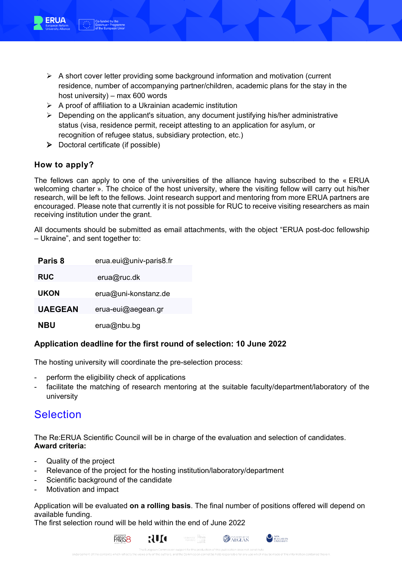

- $\triangleright$  A short cover letter providing some background information and motivation (current residence, number of accompanying partner/children, academic plans for the stay in the host university) – max 600 words
- $\triangleright$  A proof of affiliation to a Ukrainian academic institution
- $\triangleright$  Depending on the applicant's situation, any document justifying his/her administrative status (visa, residence permit, receipt attesting to an application for asylum, or recognition of refugee status, subsidiary protection, etc.)
- $\triangleright$  Doctoral certificate (if possible)

### **How to apply?**

The fellows can apply to one of the universities of the alliance having subscribed to the « ERUA welcoming charter ». The choice of the host university, where the visiting fellow will carry out his/her research, will be left to the fellows. Joint research support and mentoring from more ERUA partners are encouraged. Please note that currently it is not possible for RUC to receive visiting researchers as main receiving institution under the grant.

All documents should be submitted as email attachments, with the object "ERUA post-doc fellowship – Ukraine", and sent together to:

| Paris 8        | erua.eui@univ-paris8.fr |
|----------------|-------------------------|
| <b>RUC</b>     | erua@ruc.dk             |
| <b>UKON</b>    | erua@uni-konstanz.de    |
| <b>UAEGEAN</b> | erua-eui@aegean.gr      |
| NBU            | erua@nbu.bg             |

#### **Application deadline for the first round of selection: 10 June 2022**

The hosting university will coordinate the pre-selection process:

- perform the eligibility check of applications
- facilitate the matching of research mentoring at the suitable faculty/department/laboratory of the university

## **Selection**

The Re:ERUA Scientific Council will be in charge of the evaluation and selection of candidates. **Award criteria:**

- Quality of the project
- Relevance of the project for the hosting institution/laboratory/department
- Scientific background of the candidate
- Motivation and impact

Application will be evaluated **on a rolling basis**. The final number of positions offered will depend on available funding.

The first selection round will be held within the end of June 2022